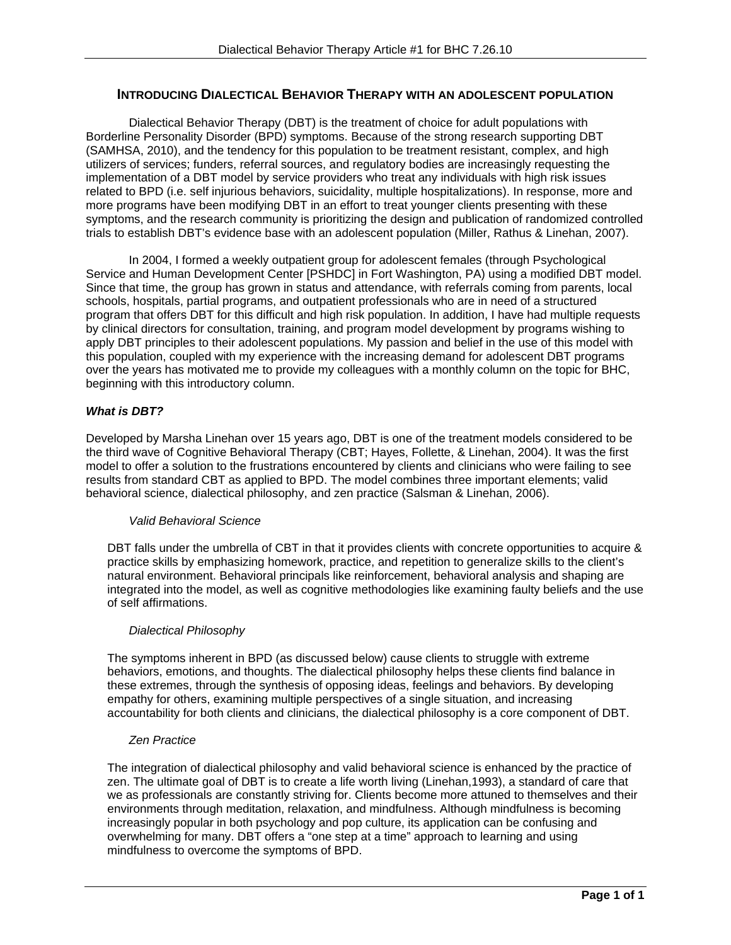# **INTRODUCING DIALECTICAL BEHAVIOR THERAPY WITH AN ADOLESCENT POPULATION**

 Dialectical Behavior Therapy (DBT) is the treatment of choice for adult populations with Borderline Personality Disorder (BPD) symptoms. Because of the strong research supporting DBT (SAMHSA, 2010), and the tendency for this population to be treatment resistant, complex, and high utilizers of services; funders, referral sources, and regulatory bodies are increasingly requesting the implementation of a DBT model by service providers who treat any individuals with high risk issues related to BPD (i.e. self injurious behaviors, suicidality, multiple hospitalizations). In response, more and more programs have been modifying DBT in an effort to treat younger clients presenting with these symptoms, and the research community is prioritizing the design and publication of randomized controlled trials to establish DBT's evidence base with an adolescent population (Miller, Rathus & Linehan, 2007).

 In 2004, I formed a weekly outpatient group for adolescent females (through Psychological Service and Human Development Center [PSHDC] in Fort Washington, PA) using a modified DBT model. Since that time, the group has grown in status and attendance, with referrals coming from parents, local schools, hospitals, partial programs, and outpatient professionals who are in need of a structured program that offers DBT for this difficult and high risk population. In addition, I have had multiple requests by clinical directors for consultation, training, and program model development by programs wishing to apply DBT principles to their adolescent populations. My passion and belief in the use of this model with this population, coupled with my experience with the increasing demand for adolescent DBT programs over the years has motivated me to provide my colleagues with a monthly column on the topic for BHC, beginning with this introductory column.

## *What is DBT?*

Developed by Marsha Linehan over 15 years ago, DBT is one of the treatment models considered to be the third wave of Cognitive Behavioral Therapy (CBT; Hayes, Follette, & Linehan, 2004). It was the first model to offer a solution to the frustrations encountered by clients and clinicians who were failing to see results from standard CBT as applied to BPD. The model combines three important elements; valid behavioral science, dialectical philosophy, and zen practice (Salsman & Linehan, 2006).

### *Valid Behavioral Science*

DBT falls under the umbrella of CBT in that it provides clients with concrete opportunities to acquire & practice skills by emphasizing homework, practice, and repetition to generalize skills to the client's natural environment. Behavioral principals like reinforcement, behavioral analysis and shaping are integrated into the model, as well as cognitive methodologies like examining faulty beliefs and the use of self affirmations.

### *Dialectical Philosophy*

The symptoms inherent in BPD (as discussed below) cause clients to struggle with extreme behaviors, emotions, and thoughts. The dialectical philosophy helps these clients find balance in these extremes, through the synthesis of opposing ideas, feelings and behaviors. By developing empathy for others, examining multiple perspectives of a single situation, and increasing accountability for both clients and clinicians, the dialectical philosophy is a core component of DBT.

### *Zen Practice*

The integration of dialectical philosophy and valid behavioral science is enhanced by the practice of zen. The ultimate goal of DBT is to create a life worth living (Linehan,1993), a standard of care that we as professionals are constantly striving for. Clients become more attuned to themselves and their environments through meditation, relaxation, and mindfulness. Although mindfulness is becoming increasingly popular in both psychology and pop culture, its application can be confusing and overwhelming for many. DBT offers a "one step at a time" approach to learning and using mindfulness to overcome the symptoms of BPD.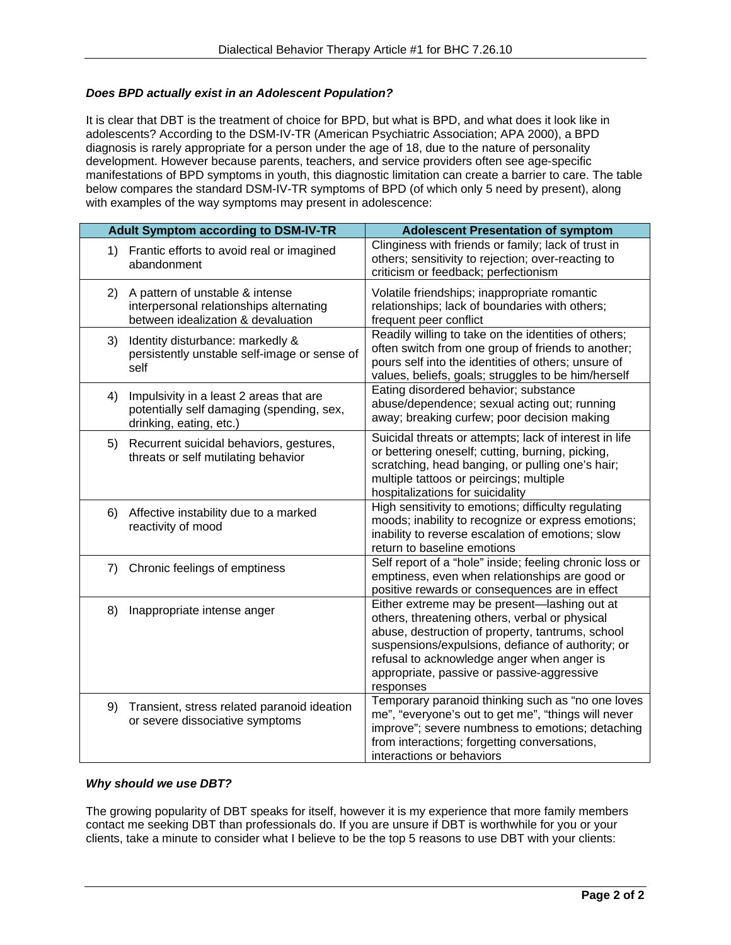## *Does BPD actually exist in an Adolescent Population?*

It is clear that DBT is the treatment of choice for BPD, but what is BPD, and what does it look like in adolescents? According to the DSM-IV-TR (American Psychiatric Association; APA 2000), a BPD diagnosis is rarely appropriate for a person under the age of 18, due to the nature of personality development. However because parents, teachers, and service providers often see age-specific manifestations of BPD symptoms in youth, this diagnostic limitation can create a barrier to care. The table below compares the standard DSM-IV-TR symptoms of BPD (of which only 5 need by present), along with examples of the way symptoms may present in adolescence:

| <b>Adult Symptom according to DSM-IV-TR</b> |                                                                                                                  | <b>Adolescent Presentation of symptom</b>                                                                                                                                                                                                                                                                        |
|---------------------------------------------|------------------------------------------------------------------------------------------------------------------|------------------------------------------------------------------------------------------------------------------------------------------------------------------------------------------------------------------------------------------------------------------------------------------------------------------|
|                                             | 1) Frantic efforts to avoid real or imagined<br>abandonment                                                      | Clinginess with friends or family; lack of trust in<br>others; sensitivity to rejection; over-reacting to<br>criticism or feedback; perfectionism                                                                                                                                                                |
| 2)                                          | A pattern of unstable & intense<br>interpersonal relationships alternating<br>between idealization & devaluation | Volatile friendships; inappropriate romantic<br>relationships; lack of boundaries with others;<br>frequent peer conflict                                                                                                                                                                                         |
| 3)                                          | Identity disturbance: markedly &<br>persistently unstable self-image or sense of<br>self                         | Readily willing to take on the identities of others;<br>often switch from one group of friends to another;<br>pours self into the identities of others; unsure of<br>values, beliefs, goals; struggles to be him/herself                                                                                         |
| 4)                                          | Impulsivity in a least 2 areas that are<br>potentially self damaging (spending, sex,<br>drinking, eating, etc.)  | Eating disordered behavior; substance<br>abuse/dependence; sexual acting out; running<br>away; breaking curfew; poor decision making                                                                                                                                                                             |
| 5)                                          | Recurrent suicidal behaviors, gestures,<br>threats or self mutilating behavior                                   | Suicidal threats or attempts; lack of interest in life<br>or bettering oneself; cutting, burning, picking,<br>scratching, head banging, or pulling one's hair;<br>multiple tattoos or peircings; multiple<br>hospitalizations for suicidality                                                                    |
| 6)                                          | Affective instability due to a marked<br>reactivity of mood                                                      | High sensitivity to emotions; difficulty regulating<br>moods; inability to recognize or express emotions;<br>inability to reverse escalation of emotions; slow<br>return to baseline emotions                                                                                                                    |
| 7)                                          | Chronic feelings of emptiness                                                                                    | Self report of a "hole" inside; feeling chronic loss or<br>emptiness, even when relationships are good or<br>positive rewards or consequences are in effect                                                                                                                                                      |
| 8)                                          | Inappropriate intense anger                                                                                      | Either extreme may be present-lashing out at<br>others, threatening others, verbal or physical<br>abuse, destruction of property, tantrums, school<br>suspensions/expulsions, defiance of authority; or<br>refusal to acknowledge anger when anger is<br>appropriate, passive or passive-aggressive<br>responses |
| 9)                                          | Transient, stress related paranoid ideation<br>or severe dissociative symptoms                                   | Temporary paranoid thinking such as "no one loves<br>me", "everyone's out to get me", "things will never<br>improve"; severe numbness to emotions; detaching<br>from interactions; forgetting conversations,<br>interactions or behaviors                                                                        |

### *Why should we use DBT?*

The growing popularity of DBT speaks for itself, however it is my experience that more family members contact me seeking DBT than professionals do. If you are unsure if DBT is worthwhile for you or your clients, take a minute to consider what I believe to be the top 5 reasons to use DBT with your clients: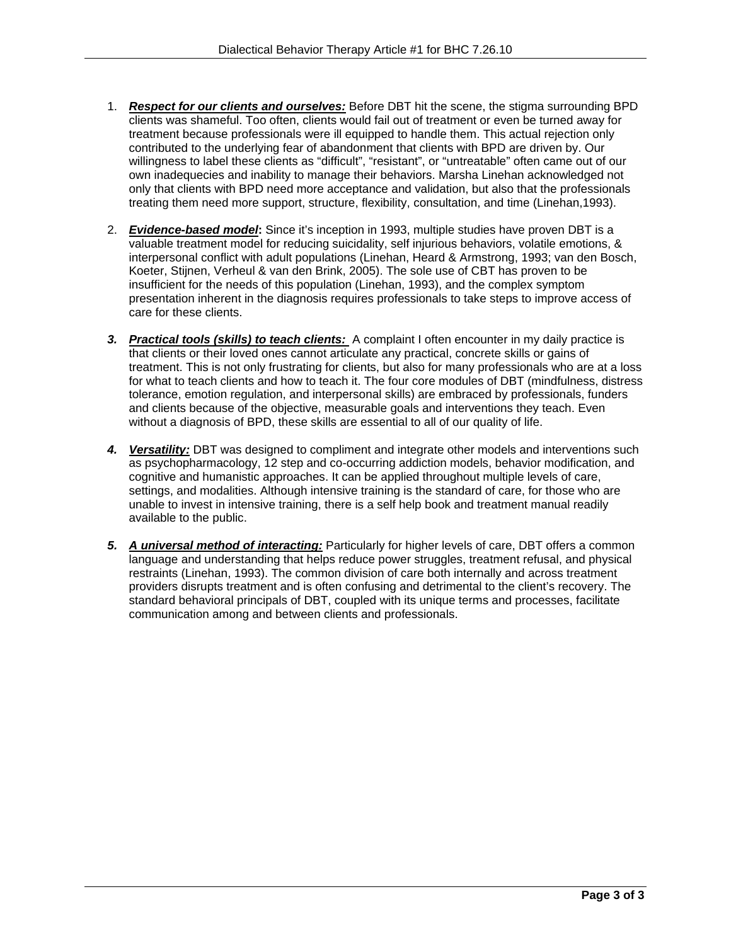- 1. *Respect for our clients and ourselves:* Before DBT hit the scene, the stigma surrounding BPD clients was shameful. Too often, clients would fail out of treatment or even be turned away for treatment because professionals were ill equipped to handle them. This actual rejection only contributed to the underlying fear of abandonment that clients with BPD are driven by. Our willingness to label these clients as "difficult", "resistant", or "untreatable" often came out of our own inadequecies and inability to manage their behaviors. Marsha Linehan acknowledged not only that clients with BPD need more acceptance and validation, but also that the professionals treating them need more support, structure, flexibility, consultation, and time (Linehan,1993).
- 2. *Evidence-based model***:** Since it's inception in 1993, multiple studies have proven DBT is a valuable treatment model for reducing suicidality, self injurious behaviors, volatile emotions, & interpersonal conflict with adult populations (Linehan, Heard & Armstrong, 1993; van den Bosch, Koeter, Stijnen, Verheul & van den Brink, 2005). The sole use of CBT has proven to be insufficient for the needs of this population (Linehan, 1993), and the complex symptom presentation inherent in the diagnosis requires professionals to take steps to improve access of care for these clients.
- *3. Practical tools (skills) to teach clients:* A complaint I often encounter in my daily practice is that clients or their loved ones cannot articulate any practical, concrete skills or gains of treatment. This is not only frustrating for clients, but also for many professionals who are at a loss for what to teach clients and how to teach it. The four core modules of DBT (mindfulness, distress tolerance, emotion regulation, and interpersonal skills) are embraced by professionals, funders and clients because of the objective, measurable goals and interventions they teach. Even without a diagnosis of BPD, these skills are essential to all of our quality of life.
- 4. Versatility: DBT was designed to compliment and integrate other models and interventions such as psychopharmacology, 12 step and co-occurring addiction models, behavior modification, and cognitive and humanistic approaches. It can be applied throughout multiple levels of care, settings, and modalities. Although intensive training is the standard of care, for those who are unable to invest in intensive training, there is a self help book and treatment manual readily available to the public.
- *5. A universal method of interacting:* Particularly for higher levels of care, DBT offers a common language and understanding that helps reduce power struggles, treatment refusal, and physical restraints (Linehan, 1993). The common division of care both internally and across treatment providers disrupts treatment and is often confusing and detrimental to the client's recovery. The standard behavioral principals of DBT, coupled with its unique terms and processes, facilitate communication among and between clients and professionals.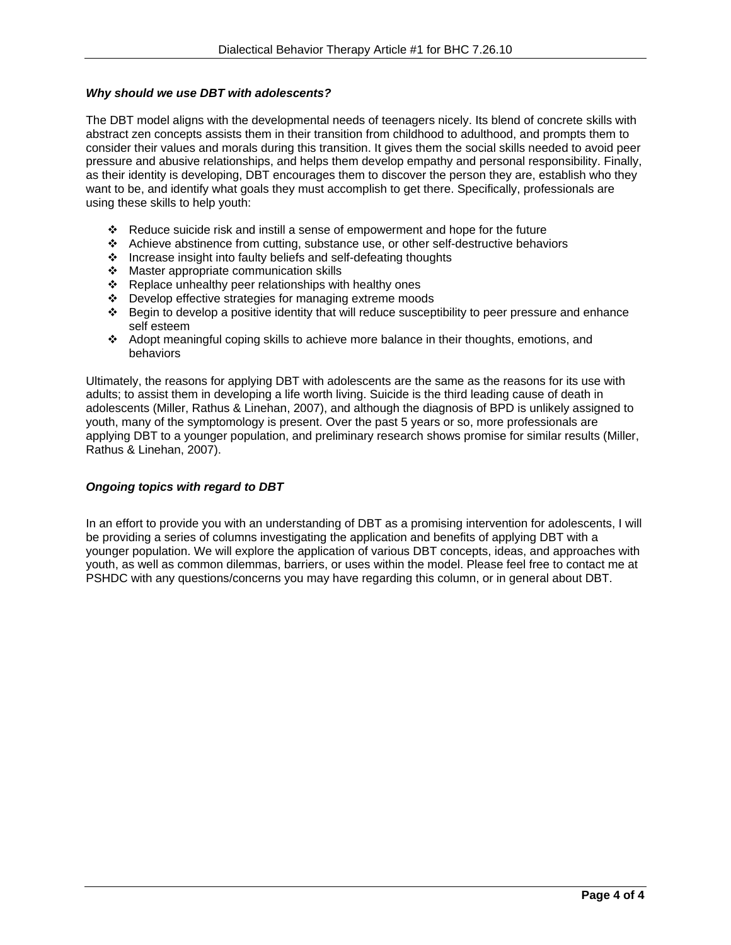## *Why should we use DBT with adolescents?*

The DBT model aligns with the developmental needs of teenagers nicely. Its blend of concrete skills with abstract zen concepts assists them in their transition from childhood to adulthood, and prompts them to consider their values and morals during this transition. It gives them the social skills needed to avoid peer pressure and abusive relationships, and helps them develop empathy and personal responsibility. Finally, as their identity is developing, DBT encourages them to discover the person they are, establish who they want to be, and identify what goals they must accomplish to get there. Specifically, professionals are using these skills to help youth:

- Reduce suicide risk and instill a sense of empowerment and hope for the future
- Achieve abstinence from cutting, substance use, or other self-destructive behaviors
- Increase insight into faulty beliefs and self-defeating thoughts
- Master appropriate communication skills
- \* Replace unhealthy peer relationships with healthy ones
- Develop effective strategies for managing extreme moods
- $\div$  Begin to develop a positive identity that will reduce susceptibility to peer pressure and enhance self esteem
- Adopt meaningful coping skills to achieve more balance in their thoughts, emotions, and behaviors

Ultimately, the reasons for applying DBT with adolescents are the same as the reasons for its use with adults; to assist them in developing a life worth living. Suicide is the third leading cause of death in adolescents (Miller, Rathus & Linehan, 2007), and although the diagnosis of BPD is unlikely assigned to youth, many of the symptomology is present. Over the past 5 years or so, more professionals are applying DBT to a younger population, and preliminary research shows promise for similar results (Miller, Rathus & Linehan, 2007).

### *Ongoing topics with regard to DBT*

In an effort to provide you with an understanding of DBT as a promising intervention for adolescents, I will be providing a series of columns investigating the application and benefits of applying DBT with a younger population. We will explore the application of various DBT concepts, ideas, and approaches with youth, as well as common dilemmas, barriers, or uses within the model. Please feel free to contact me at PSHDC with any questions/concerns you may have regarding this column, or in general about DBT.